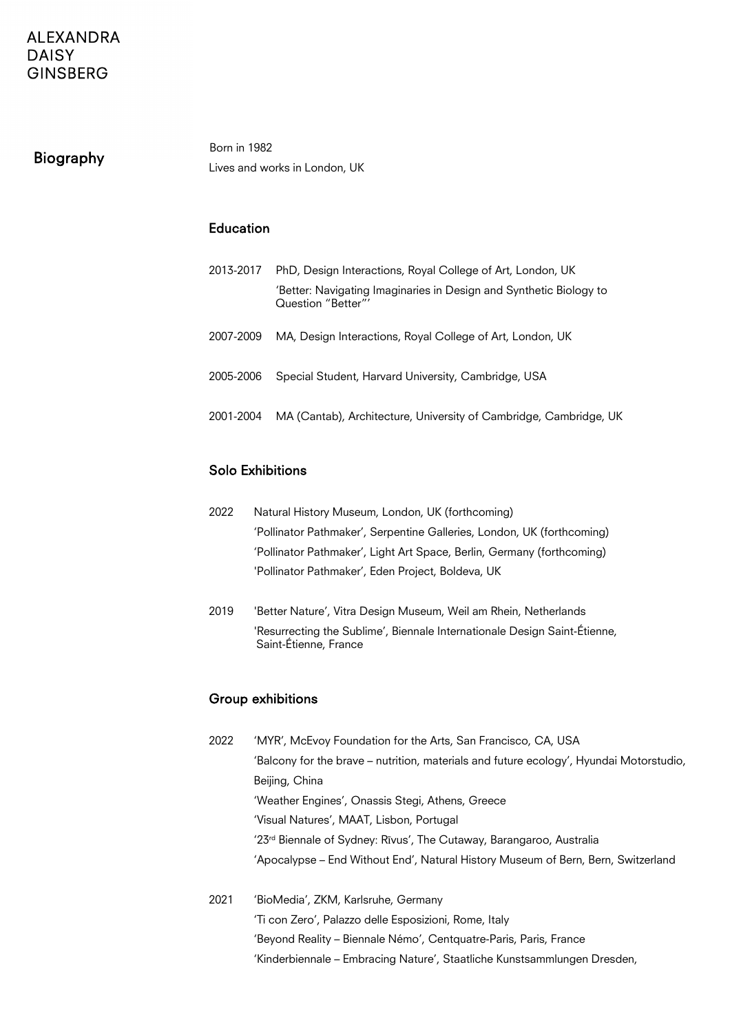## Biography

Born in 1982 Lives and works in London, UK

#### Education

| 2013-2017 | PhD, Design Interactions, Royal College of Art, London, UK                               |  |  |
|-----------|------------------------------------------------------------------------------------------|--|--|
|           | 'Better: Navigating Imaginaries in Design and Synthetic Biology to<br>Question "Better"' |  |  |
| 2007-2009 | MA, Design Interactions, Royal College of Art, London, UK                                |  |  |
| 2005-2006 | Special Student, Harvard University, Cambridge, USA                                      |  |  |
| 2001-2004 | MA (Cantab), Architecture, University of Cambridge, Cambridge, UK                        |  |  |

#### Solo Exhibitions

- 2022 Natural History Museum, London, UK (forthcoming) 'Pollinator Pathmaker', Serpentine Galleries, London, UK (forthcoming) 'Pollinator Pathmaker', Light Art Space, Berlin, Germany (forthcoming) 'Pollinator Pathmaker', Eden Project, Boldeva, UK
- 2019 'Better Nature', Vitra Design Museum, Weil am Rhein, Netherlands 'Resurrecting the Sublime', Biennale Internationale Design Saint-Étienne, Saint-Étienne, France

### Group exhibitions

- 2022 'MYR', McEvoy Foundation for the Arts, San Francisco, CA, USA 'Balcony for the brave – nutrition, materials and future ecology', Hyundai Motorstudio, Beijing, China 'Weather Engines', Onassis Stegi, Athens, Greece 'Visual Natures', MAAT, Lisbon, Portugal '23rd Biennale of Sydney: Rīvus', The Cutaway, Barangaroo, Australia 'Apocalypse – End Without End', Natural History Museum of Bern, Bern, Switzerland
- 2021 'BioMedia', ZKM, Karlsruhe, Germany 'Ti con Zero', Palazzo delle Esposizioni, Rome, Italy 'Beyond Reality – Biennale Némo', Centquatre-Paris, Paris, France 'Kinderbiennale – Embracing Nature', Staatliche Kunstsammlungen Dresden,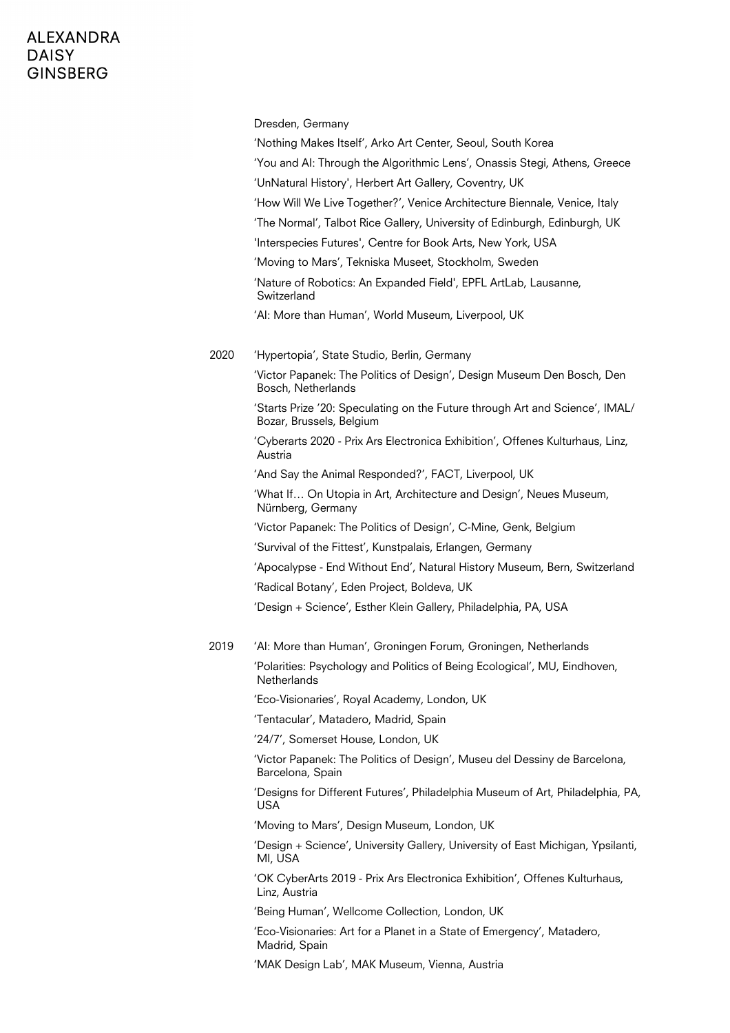|      | Dresden, Germany                                                                                         |
|------|----------------------------------------------------------------------------------------------------------|
|      | 'Nothing Makes Itself', Arko Art Center, Seoul, South Korea                                              |
|      | 'You and AI: Through the Algorithmic Lens', Onassis Stegi, Athens, Greece                                |
|      | 'UnNatural History', Herbert Art Gallery, Coventry, UK                                                   |
|      | 'How Will We Live Together?', Venice Architecture Biennale, Venice, Italy                                |
|      | 'The Normal', Talbot Rice Gallery, University of Edinburgh, Edinburgh, UK                                |
|      | 'Interspecies Futures', Centre for Book Arts, New York, USA                                              |
|      | 'Moving to Mars', Tekniska Museet, Stockholm, Sweden                                                     |
|      | 'Nature of Robotics: An Expanded Field', EPFL ArtLab, Lausanne,<br>Switzerland                           |
|      | 'Al: More than Human', World Museum, Liverpool, UK                                                       |
| 2020 | 'Hypertopia', State Studio, Berlin, Germany                                                              |
|      | 'Victor Papanek: The Politics of Design', Design Museum Den Bosch, Den<br>Bosch, Netherlands             |
|      | 'Starts Prize '20: Speculating on the Future through Art and Science', IMAL/<br>Bozar, Brussels, Belgium |
|      | 'Cyberarts 2020 - Prix Ars Electronica Exhibition', Offenes Kulturhaus, Linz,<br>Austria                 |
|      | 'And Say the Animal Responded?', FACT, Liverpool, UK                                                     |
|      | 'What If On Utopia in Art, Architecture and Design', Neues Museum,<br>Nürnberg, Germany                  |
|      | 'Victor Papanek: The Politics of Design', C-Mine, Genk, Belgium                                          |
|      | 'Survival of the Fittest', Kunstpalais, Erlangen, Germany                                                |
|      | 'Apocalypse - End Without End', Natural History Museum, Bern, Switzerland                                |
|      | 'Radical Botany', Eden Project, Boldeva, UK                                                              |
|      | 'Design + Science', Esther Klein Gallery, Philadelphia, PA, USA                                          |
| 2019 | 'Al: More than Human', Groningen Forum, Groningen, Netherlands                                           |
|      | 'Polarities: Psychology and Politics of Being Ecological', MU, Eindhoven,<br><b>Netherlands</b>          |
|      | 'Eco-Visionaries', Royal Academy, London, UK                                                             |
|      | 'Tentacular', Matadero, Madrid, Spain                                                                    |
|      | '24/7', Somerset House, London, UK                                                                       |
|      | 'Victor Papanek: The Politics of Design', Museu del Dessiny de Barcelona,<br>Barcelona, Spain            |
|      | 'Designs for Different Futures', Philadelphia Museum of Art, Philadelphia, PA,<br>USA                    |
|      | 'Moving to Mars', Design Museum, London, UK                                                              |
|      | 'Design + Science', University Gallery, University of East Michigan, Ypsilanti,<br>MI, USA               |
|      | 'OK CyberArts 2019 - Prix Ars Electronica Exhibition', Offenes Kulturhaus,<br>Linz, Austria              |
|      | 'Being Human', Wellcome Collection, London, UK                                                           |
|      | 'Eco-Visionaries: Art for a Planet in a State of Emergency', Matadero,<br>Madrid, Spain                  |
|      | 'MAK Design Lab', MAK Museum, Vienna, Austria                                                            |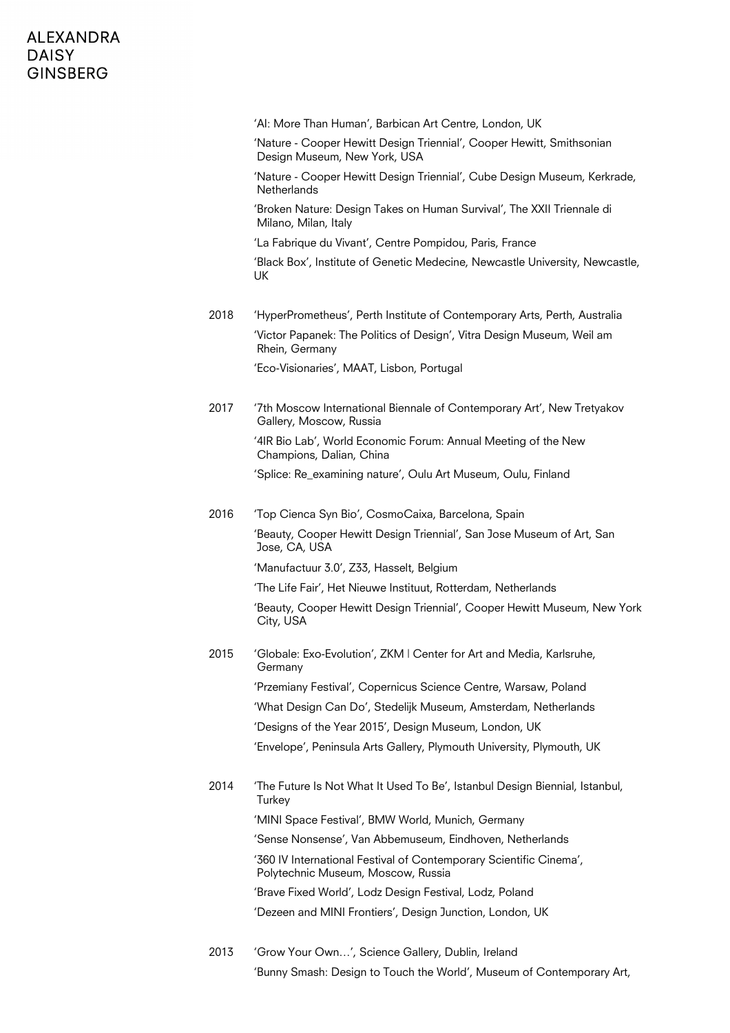|      | 'Al: More Than Human', Barbican Art Centre, London, UK                                                   |
|------|----------------------------------------------------------------------------------------------------------|
|      | 'Nature - Cooper Hewitt Design Triennial', Cooper Hewitt, Smithsonian<br>Design Museum, New York, USA    |
|      | 'Nature - Cooper Hewitt Design Triennial', Cube Design Museum, Kerkrade,<br><b>Netherlands</b>           |
|      | 'Broken Nature: Design Takes on Human Survival', The XXII Triennale di<br>Milano, Milan, Italy           |
|      | 'La Fabrique du Vivant', Centre Pompidou, Paris, France                                                  |
|      | 'Black Box', Institute of Genetic Medecine, Newcastle University, Newcastle,<br>UK                       |
| 2018 | 'HyperPrometheus', Perth Institute of Contemporary Arts, Perth, Australia                                |
|      | 'Victor Papanek: The Politics of Design', Vitra Design Museum, Weil am<br>Rhein, Germany                 |
|      | 'Eco-Visionaries', MAAT, Lisbon, Portugal                                                                |
| 2017 | '7th Moscow International Biennale of Contemporary Art', New Tretyakov<br>Gallery, Moscow, Russia        |
|      | '4IR Bio Lab', World Economic Forum: Annual Meeting of the New<br>Champions, Dalian, China               |
|      | 'Splice: Re_examining nature', Oulu Art Museum, Oulu, Finland                                            |
| 2016 | 'Top Cienca Syn Bio', CosmoCaixa, Barcelona, Spain                                                       |
|      | 'Beauty, Cooper Hewitt Design Triennial', San Jose Museum of Art, San<br>Jose, CA, USA                   |
|      | 'Manufactuur 3.0', Z33, Hasselt, Belgium                                                                 |
|      | 'The Life Fair', Het Nieuwe Instituut, Rotterdam, Netherlands                                            |
|      | 'Beauty, Cooper Hewitt Design Triennial', Cooper Hewitt Museum, New York<br>City, USA                    |
| 2015 | 'Globale: Exo-Evolution', ZKM   Center for Art and Media, Karlsruhe,<br>Germany                          |
|      | 'Przemiany Festival', Copernicus Science Centre, Warsaw, Poland                                          |
|      | 'What Design Can Do', Stedelijk Museum, Amsterdam, Netherlands                                           |
|      | 'Designs of the Year 2015', Design Museum, London, UK                                                    |
|      | 'Envelope', Peninsula Arts Gallery, Plymouth University, Plymouth, UK                                    |
| 2014 | 'The Future Is Not What It Used To Be', Istanbul Design Biennial, Istanbul,<br>Turkey                    |
|      | 'MINI Space Festival', BMW World, Munich, Germany                                                        |
|      | 'Sense Nonsense', Van Abbemuseum, Eindhoven, Netherlands                                                 |
|      | '360 IV International Festival of Contemporary Scientific Cinema',<br>Polytechnic Museum, Moscow, Russia |
|      | 'Brave Fixed World', Lodz Design Festival, Lodz, Poland                                                  |
|      | 'Dezeen and MINI Frontiers', Design Junction, London, UK                                                 |
|      |                                                                                                          |

2013 'Grow Your Own…', Science Gallery, Dublin, Ireland 'Bunny Smash: Design to Touch the World', Museum of Contemporary Art,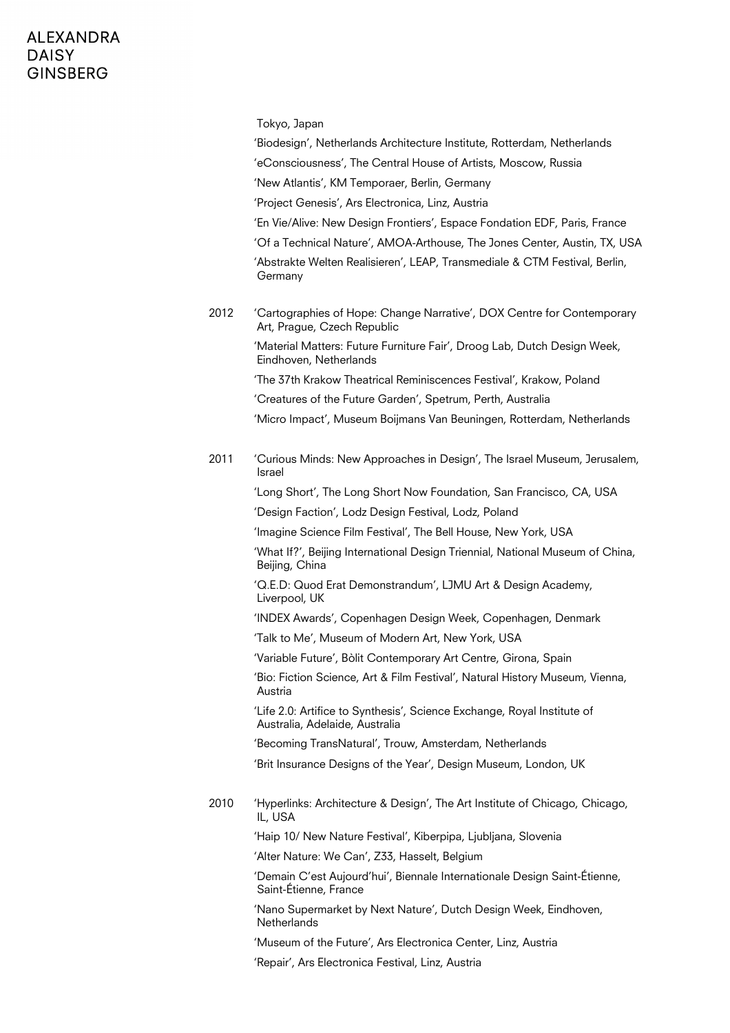|      | Tokyo, Japan<br>'Biodesign', Netherlands Architecture Institute, Rotterdam, Netherlands<br>'eConsciousness', The Central House of Artists, Moscow, Russia<br>'New Atlantis', KM Temporaer, Berlin, Germany<br>'Project Genesis', Ars Electronica, Linz, Austria<br>'En Vie/Alive: New Design Frontiers', Espace Fondation EDF, Paris, France |
|------|----------------------------------------------------------------------------------------------------------------------------------------------------------------------------------------------------------------------------------------------------------------------------------------------------------------------------------------------|
|      | 'Of a Technical Nature', AMOA-Arthouse, The Jones Center, Austin, TX, USA<br>'Abstrakte Welten Realisieren', LEAP, Transmediale & CTM Festival, Berlin,<br>Germany                                                                                                                                                                           |
| 2012 | 'Cartographies of Hope: Change Narrative', DOX Centre for Contemporary<br>Art, Prague, Czech Republic                                                                                                                                                                                                                                        |
|      | 'Material Matters: Future Furniture Fair', Droog Lab, Dutch Design Week,<br>Eindhoven, Netherlands                                                                                                                                                                                                                                           |
|      | 'The 37th Krakow Theatrical Reminiscences Festival', Krakow, Poland                                                                                                                                                                                                                                                                          |
|      | 'Creatures of the Future Garden', Spetrum, Perth, Australia                                                                                                                                                                                                                                                                                  |
|      | 'Micro Impact', Museum Boijmans Van Beuningen, Rotterdam, Netherlands                                                                                                                                                                                                                                                                        |
| 2011 | 'Curious Minds: New Approaches in Design', The Israel Museum, Jerusalem,<br>Israel                                                                                                                                                                                                                                                           |
|      | 'Long Short', The Long Short Now Foundation, San Francisco, CA, USA                                                                                                                                                                                                                                                                          |
|      | 'Design Faction', Lodz Design Festival, Lodz, Poland                                                                                                                                                                                                                                                                                         |
|      | 'Imagine Science Film Festival', The Bell House, New York, USA                                                                                                                                                                                                                                                                               |
|      | 'What If?', Beijing International Design Triennial, National Museum of China,<br>Beijing, China                                                                                                                                                                                                                                              |
|      | 'Q.E.D: Quod Erat Demonstrandum', LJMU Art & Design Academy,<br>Liverpool, UK                                                                                                                                                                                                                                                                |
|      | 'INDEX Awards', Copenhagen Design Week, Copenhagen, Denmark                                                                                                                                                                                                                                                                                  |
|      | 'Talk to Me', Museum of Modern Art, New York, USA                                                                                                                                                                                                                                                                                            |
|      | 'Variable Future', Bòlit Contemporary Art Centre, Girona, Spain                                                                                                                                                                                                                                                                              |
|      | 'Bio: Fiction Science, Art & Film Festival', Natural History Museum, Vienna,<br>Austria                                                                                                                                                                                                                                                      |
|      | 'Life 2.0: Artifice to Synthesis', Science Exchange, Royal Institute of<br>Australia, Adelaide, Australia                                                                                                                                                                                                                                    |
|      | 'Becoming TransNatural', Trouw, Amsterdam, Netherlands                                                                                                                                                                                                                                                                                       |
|      | 'Brit Insurance Designs of the Year', Design Museum, London, UK                                                                                                                                                                                                                                                                              |
| 2010 | 'Hyperlinks: Architecture & Design', The Art Institute of Chicago, Chicago,<br>IL, USA                                                                                                                                                                                                                                                       |
|      | 'Haip 10/ New Nature Festival', Kiberpipa, Ljubljana, Slovenia                                                                                                                                                                                                                                                                               |
|      | 'Alter Nature: We Can', Z33, Hasselt, Belgium                                                                                                                                                                                                                                                                                                |
|      | 'Demain C'est Aujourd'hui', Biennale Internationale Design Saint-Étienne,<br>Saint-Étienne, France                                                                                                                                                                                                                                           |
|      | 'Nano Supermarket by Next Nature', Dutch Design Week, Eindhoven,<br>Netherlands                                                                                                                                                                                                                                                              |
|      | 'Museum of the Future', Ars Electronica Center, Linz, Austria                                                                                                                                                                                                                                                                                |
|      | 'Repair', Ars Electronica Festival, Linz, Austria                                                                                                                                                                                                                                                                                            |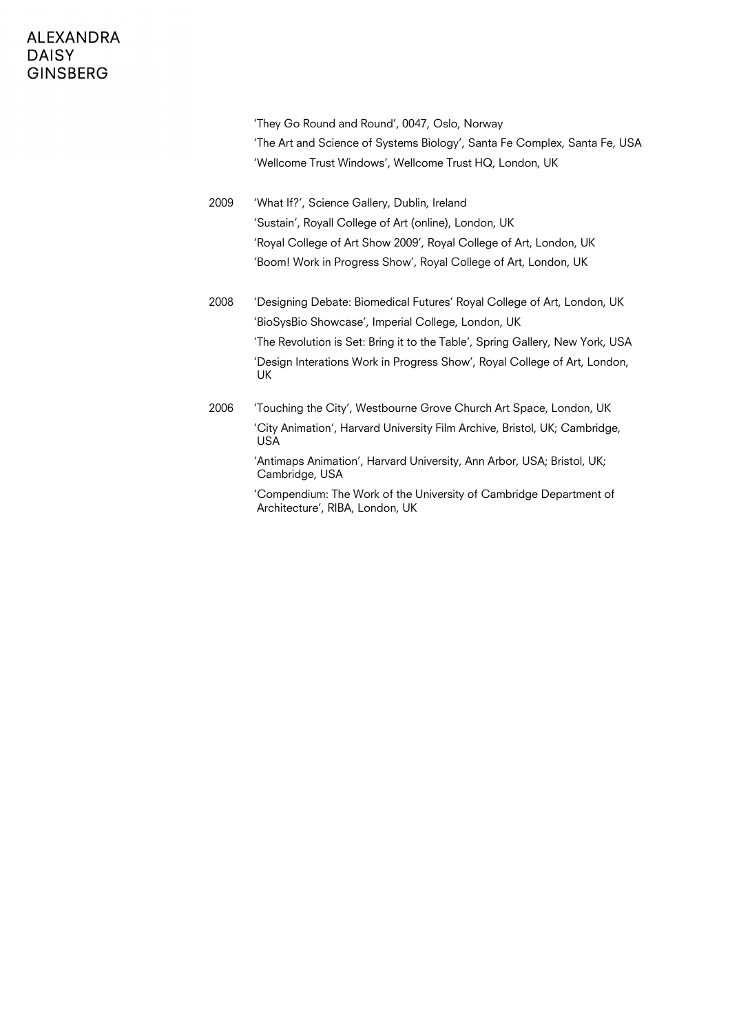'They Go Round and Round', 0047, Oslo, Norway 'The Art and Science of Systems Biology', Santa Fe Complex, Santa Fe, USA 'Wellcome Trust Windows', Wellcome Trust HQ, London, UK

2009 'What If?', Science Gallery, Dublin, Ireland 'Sustain', Royall College of Art (online), London, UK 'Royal College of Art Show 2009', Royal College of Art, London, UK 'Boom! Work in Progress Show', Royal College of Art, London, UK

- 2008 'Designing Debate: Biomedical Futures' Royal College of Art, London, UK 'BioSysBio Showcase', Imperial College, London, UK 'The Revolution is Set: Bring it to the Table', Spring Gallery, New York, USA 'Design Interations Work in Progress Show', Royal College of Art, London, UK
- 2006 'Touching the City', Westbourne Grove Church Art Space, London, UK 'City Animation', Harvard University Film Archive, Bristol, UK; Cambridge, USA

'Antimaps Animation', Harvard University, Ann Arbor, USA; Bristol, UK; Cambridge, USA

'Compendium: The Work of the University of Cambridge Department of Architecture', RIBA, London, UK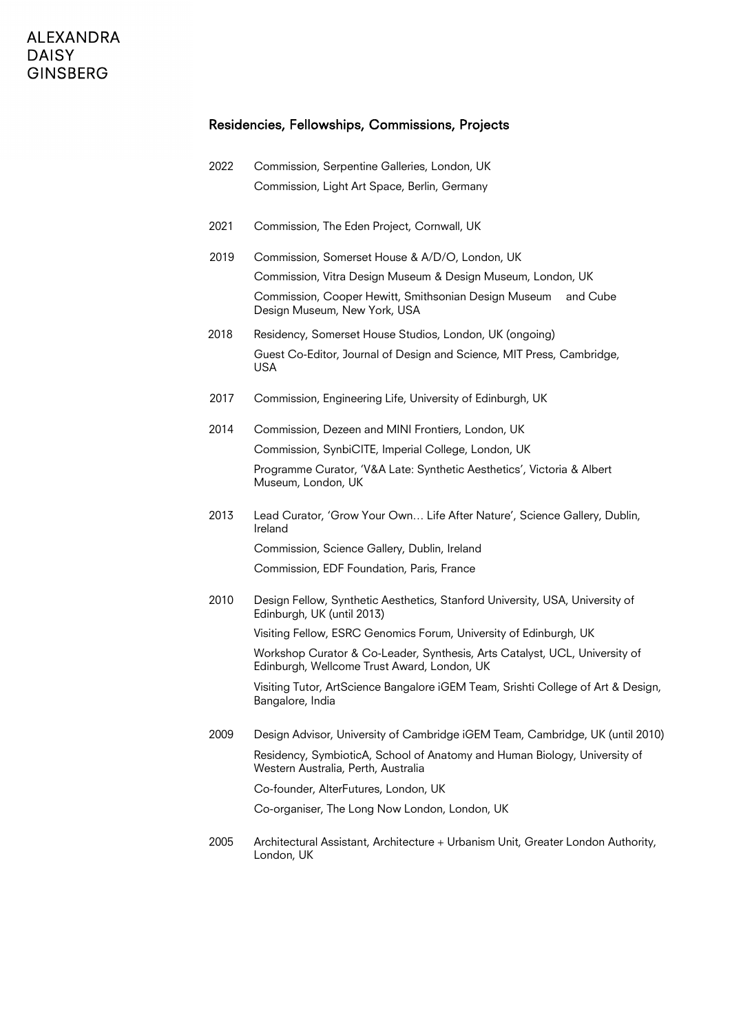#### Residencies, Fellowships, Commissions, Projects

- 2022 Commission, Serpentine Galleries, London, UK Commission, Light Art Space, Berlin, Germany
- 2021 Commission, The Eden Project, Cornwall, UK
- 2019 Commission, Somerset House & A/D/O, London, UK Commission, Vitra Design Museum & Design Museum, London, UK Commission, Cooper Hewitt, Smithsonian Design Museum and Cube Design Museum, New York, USA
- 2018 Residency, Somerset House Studios, London, UK (ongoing) Guest Co-Editor, Journal of Design and Science, MIT Press, Cambridge, USA
- 2017 Commission, Engineering Life, University of Edinburgh, UK
- 2014 Commission, Dezeen and MINI Frontiers, London, UK Commission, SynbiCITE, Imperial College, London, UK Programme Curator, 'V&A Late: Synthetic Aesthetics', Victoria & Albert Museum, London, UK
- 2013 Lead Curator, 'Grow Your Own… Life After Nature', Science Gallery, Dublin, Ireland Commission, Science Gallery, Dublin, Ireland Commission, EDF Foundation, Paris, France
- 2010 Design Fellow, Synthetic Aesthetics, Stanford University, USA, University of Edinburgh, UK (until 2013)

Visiting Fellow, ESRC Genomics Forum, University of Edinburgh, UK

Workshop Curator & Co-Leader, Synthesis, Arts Catalyst, UCL, University of Edinburgh, Wellcome Trust Award, London, UK

Visiting Tutor, ArtScience Bangalore iGEM Team, Srishti College of Art & Design, Bangalore, India

2009 Design Advisor, University of Cambridge iGEM Team, Cambridge, UK (until 2010) Residency, SymbioticA, School of Anatomy and Human Biology, University of Western Australia, Perth, Australia

Co-founder, AlterFutures, London, UK

Co-organiser, The Long Now London, London, UK

2005 Architectural Assistant, Architecture + Urbanism Unit, Greater London Authority, London, UK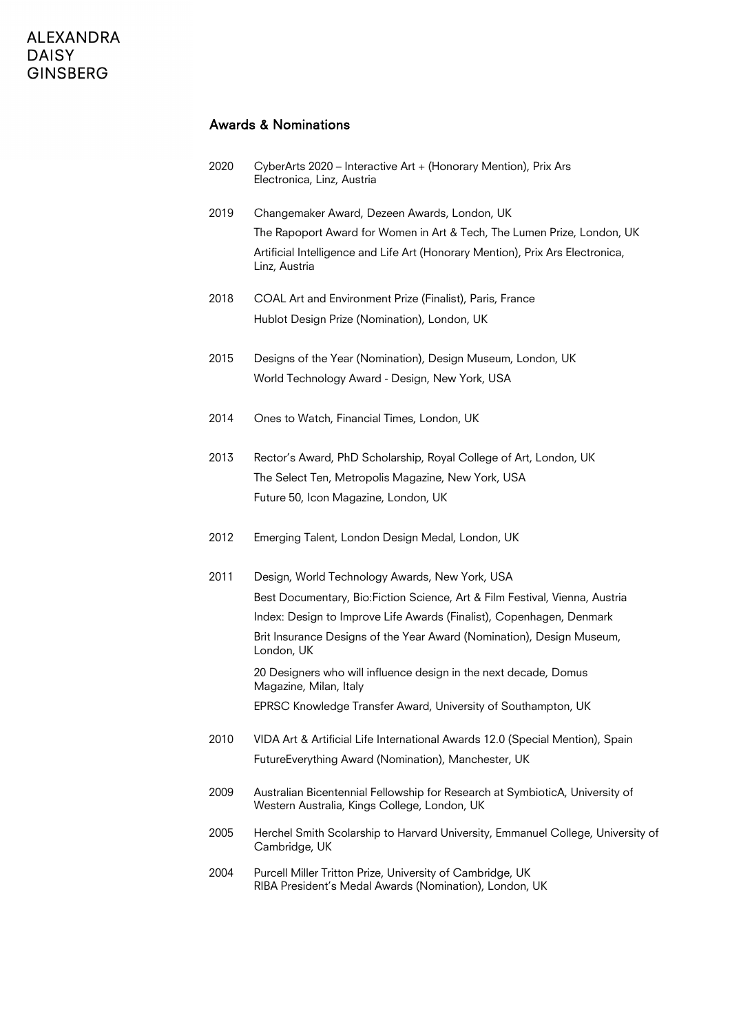#### Awards & Nominations

| 2020 | CyberArts 2020 – Interactive Art + (Honorary Mention), Prix Ars |
|------|-----------------------------------------------------------------|
|      | Electronica, Linz, Austria                                      |

- 2019 Changemaker Award, Dezeen Awards, London, UK The Rapoport Award for Women in Art & Tech, The Lumen Prize, London, UK Artificial Intelligence and Life Art (Honorary Mention), Prix Ars Electronica, Linz, Austria
- 2018 COAL Art and Environment Prize (Finalist), Paris, France Hublot Design Prize (Nomination), London, UK
- 2015 Designs of the Year (Nomination), Design Museum, London, UK World Technology Award - Design, New York, USA
- 2014 Ones to Watch, Financial Times, London, UK
- 2013 Rector's Award, PhD Scholarship, Royal College of Art, London, UK The Select Ten, Metropolis Magazine, New York, USA Future 50, Icon Magazine, London, UK
- 2012 Emerging Talent, London Design Medal, London, UK
- 2011 Design, World Technology Awards, New York, USA Best Documentary, Bio:Fiction Science, Art & Film Festival, Vienna, Austria Index: Design to Improve Life Awards (Finalist), Copenhagen, Denmark Brit Insurance Designs of the Year Award (Nomination), Design Museum, London, UK 20 Designers who will influence design in the next decade, Domus Magazine, Milan, Italy

EPRSC Knowledge Transfer Award, University of Southampton, UK

- 2010 VIDA Art & Artificial Life International Awards 12.0 (Special Mention), Spain FutureEverything Award (Nomination), Manchester, UK
- 2009 Australian Bicentennial Fellowship for Research at SymbioticA, University of Western Australia, Kings College, London, UK
- 2005 Herchel Smith Scolarship to Harvard University, Emmanuel College, University of Cambridge, UK
- 2004 Purcell Miller Tritton Prize, University of Cambridge, UK RIBA President's Medal Awards (Nomination), London, UK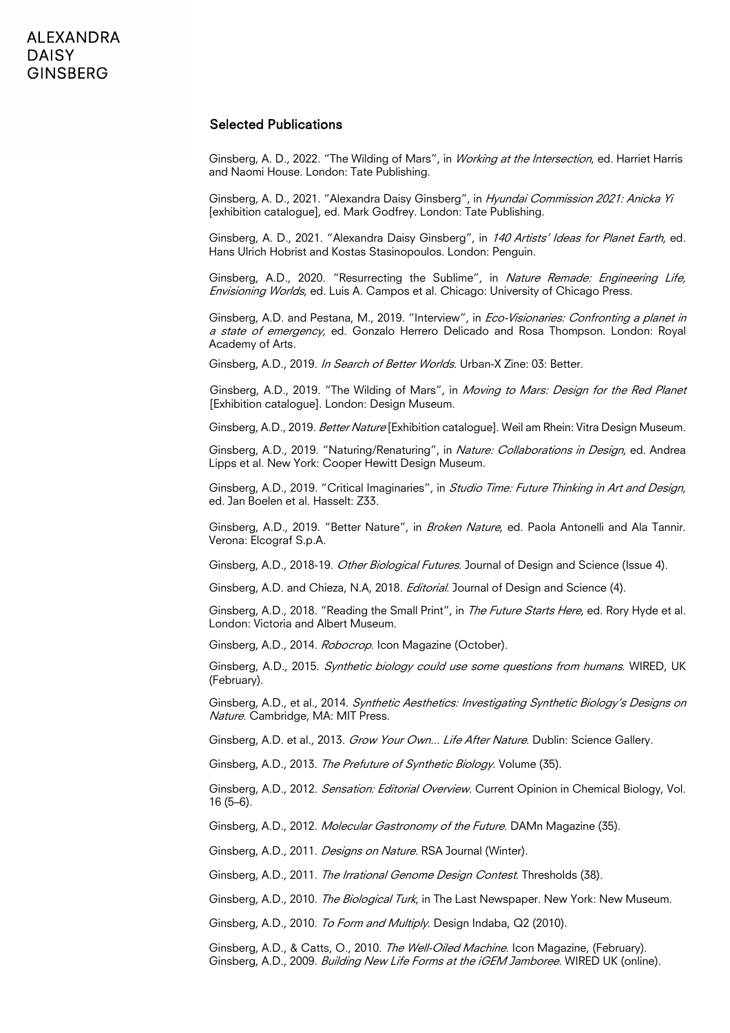#### Selected Publications

Ginsberg, A. D., 2022. "The Wilding of Mars", in Working at the Intersection, ed. Harriet Harris and Naomi House. London: Tate Publishing.

Ginsberg, A. D., 2021. "Alexandra Daisy Ginsberg", in Hyundai Commission 2021: Anicka Yi [exhibition catalogue], ed. Mark Godfrey. London: Tate Publishing.

Ginsberg, A. D., 2021. "Alexandra Daisy Ginsberg", in 140 Artists' Ideas for Planet Earth, ed. Hans Ulrich Hobrist and Kostas Stasinopoulos. London: Penguin.

Ginsberg, A.D., 2020. "Resurrecting the Sublime", in Nature Remade: Engineering Life, Envisioning Worlds, ed. Luis A. Campos et al. Chicago: University of Chicago Press.

Ginsberg, A.D. and Pestana, M., 2019. "Interview", in *Eco-Visionaries: Confronting a planet in* a state of emergency, ed. Gonzalo Herrero Delicado and Rosa Thompson. London: Royal Academy of Arts.

Ginsberg, A.D., 2019. In Search of Better Worlds. Urban-X Zine: 03: Better.

Ginsberg, A.D., 2019. "The Wilding of Mars", in Moving to Mars: Design for the Red Planet [Exhibition catalogue]. London: Design Museum.

Ginsberg, A.D., 2019. Better Nature [Exhibition catalogue]. Weil am Rhein: Vitra Design Museum.

Ginsberg, A.D., 2019. "Naturing/Renaturing", in Nature: Collaborations in Design, ed. Andrea Lipps et al. New York: Cooper Hewitt Design Museum.

Ginsberg, A.D., 2019. "Critical Imaginaries", in Studio Time: Future Thinking in Art and Design, ed. Jan Boelen et al. Hasselt: Z33.

Ginsberg, A.D., 2019. "Better Nature", in Broken Nature, ed. Paola Antonelli and Ala Tannir. Verona: Elcograf S.p.A.

Ginsberg, A.D., 2018-19. Other Biological Futures. Journal of Design and Science (Issue 4).

Ginsberg, A.D. and Chieza, N.A. 2018. *Editorial*. Journal of Design and Science (4).

Ginsberg, A.D., 2018. "Reading the Small Print", in The Future Starts Here, ed. Rory Hyde et al. London: Victoria and Albert Museum.

Ginsberg, A.D., 2014. Robocrop. Icon Magazine (October).

Ginsberg, A.D., 2015. Synthetic biology could use some questions from humans. WIRED, UK (February).

Ginsberg, A.D., et al., 2014. Synthetic Aesthetics: Investigating Synthetic Biology's Designs on Nature. Cambridge, MA: MIT Press.

Ginsberg, A.D. et al., 2013. Grow Your Own... Life After Nature. Dublin: Science Gallery.

Ginsberg, A.D., 2013. The Prefuture of Synthetic Biology. Volume (35).

Ginsberg, A.D., 2012. *Sensation: Editorial Overview*. Current Opinion in Chemical Biology, Vol. 16 (5–6).

Ginsberg, A.D., 2012. Molecular Gastronomy of the Future. DAMn Magazine (35).

Ginsberg, A.D., 2011. Designs on Nature. RSA Journal (Winter).

Ginsberg, A.D., 2011. The Irrational Genome Design Contest. Thresholds (38).

Ginsberg, A.D., 2010. The Biological Turk, in The Last Newspaper. New York: New Museum.

Ginsberg, A.D., 2010. To Form and Multiply. Design Indaba, Q2 (2010).

Ginsberg, A.D., & Catts, O., 2010. The Well-Oiled Machine. Icon Magazine, (February). Ginsberg, A.D., 2009. *Building New Life Forms at the iGEM Jamboree*. WIRED UK (online).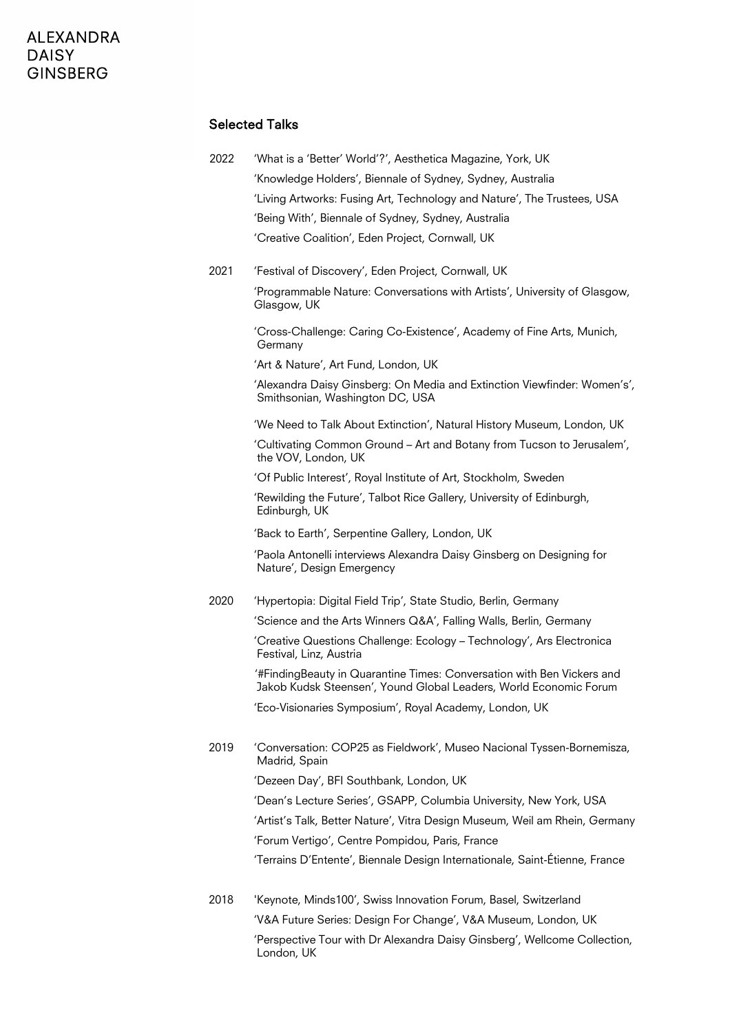#### Selected Talks

| 2022. | 'What is a 'Better' World'?', Aesthetica Magazine, York, UK             |
|-------|-------------------------------------------------------------------------|
|       | 'Knowledge Holders', Biennale of Sydney, Sydney, Australia              |
|       | 'Living Artworks: Fusing Art, Technology and Nature', The Trustees, USA |
|       | 'Being With', Biennale of Sydney, Sydney, Australia                     |
|       | 'Creative Coalition', Eden Project, Cornwall, UK                        |

2021 'Festival of Discovery', Eden Project, Cornwall, UK

'Programmable Nature: Conversations with Artists', University of Glasgow, Glasgow, UK

'Cross-Challenge: Caring Co-Existence', Academy of Fine Arts, Munich, Germany

'Art & Nature', Art Fund, London, UK

'Alexandra Daisy Ginsberg: On Media and Extinction Viewfinder: Women's', Smithsonian, Washington DC, USA

'We Need to Talk About Extinction', Natural History Museum, London, UK

'Cultivating Common Ground – Art and Botany from Tucson to Jerusalem', the VOV, London, UK

'Of Public Interest', Royal Institute of Art, Stockholm, Sweden

'Rewilding the Future', Talbot Rice Gallery, University of Edinburgh, Edinburgh, UK

'Back to Earth', Serpentine Gallery, London, UK

'Paola Antonelli interviews Alexandra Daisy Ginsberg on Designing for Nature', Design Emergency

2020 'Hypertopia: Digital Field Trip', State Studio, Berlin, Germany

'Science and the Arts Winners Q&A', Falling Walls, Berlin, Germany

'Creative Questions Challenge: Ecology – Technology', Ars Electronica Festival, Linz, Austria

'#FindingBeauty in Quarantine Times: Conversation with Ben Vickers and Jakob Kudsk Steensen', Yound Global Leaders, World Economic Forum

'Eco-Visionaries Symposium', Royal Academy, London, UK

2019 'Conversation: COP25 as Fieldwork', Museo Nacional Tyssen-Bornemisza, Madrid, Spain

'Dezeen Day', BFI Southbank, London, UK

'Dean's Lecture Series', GSAPP, Columbia University, New York, USA 'Artist's Talk, Better Nature', Vitra Design Museum, Weil am Rhein, Germany 'Forum Vertigo', Centre Pompidou, Paris, France 'Terrains D'Entente', Biennale Design Internationale, Saint-Étienne, France

2018 'Keynote, Minds100', Swiss Innovation Forum, Basel, Switzerland 'V&A Future Series: Design For Change', V&A Museum, London, UK 'Perspective Tour with Dr Alexandra Daisy Ginsberg', Wellcome Collection, London, UK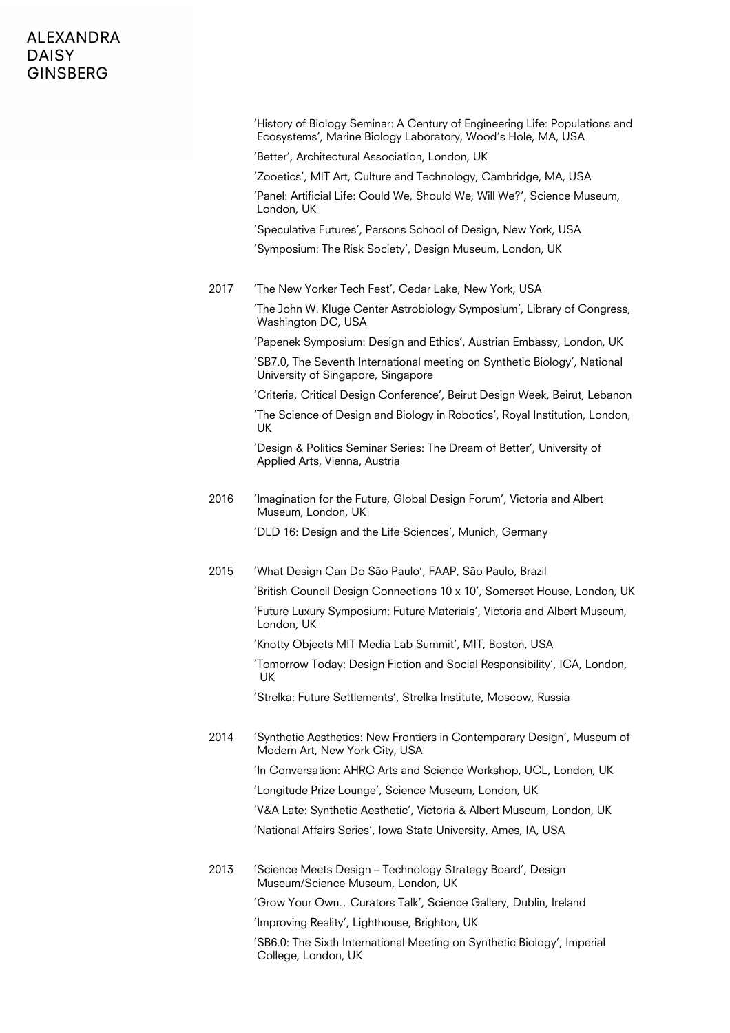|      | 'History of Biology Seminar: A Century of Engineering Life: Populations and<br>Ecosystems', Marine Biology Laboratory, Wood's Hole, MA, USA |
|------|---------------------------------------------------------------------------------------------------------------------------------------------|
|      | 'Better', Architectural Association, London, UK                                                                                             |
|      | 'Zooetics', MIT Art, Culture and Technology, Cambridge, MA, USA                                                                             |
|      | 'Panel: Artificial Life: Could We, Should We, Will We?', Science Museum,<br>London, UK                                                      |
|      | 'Speculative Futures', Parsons School of Design, New York, USA                                                                              |
|      | 'Symposium: The Risk Society', Design Museum, London, UK                                                                                    |
| 2017 | 'The New Yorker Tech Fest', Cedar Lake, New York, USA                                                                                       |
|      | 'The John W. Kluge Center Astrobiology Symposium', Library of Congress,<br>Washington DC, USA                                               |
|      | 'Papenek Symposium: Design and Ethics', Austrian Embassy, London, UK                                                                        |
|      | 'SB7.0, The Seventh International meeting on Synthetic Biology', National<br>University of Singapore, Singapore                             |
|      | 'Criteria, Critical Design Conference', Beirut Design Week, Beirut, Lebanon                                                                 |
|      | 'The Science of Design and Biology in Robotics', Royal Institution, London,<br>UK                                                           |
|      | 'Design & Politics Seminar Series: The Dream of Better', University of<br>Applied Arts, Vienna, Austria                                     |
| 2016 | 'Imagination for the Future, Global Design Forum', Victoria and Albert<br>Museum, London, UK                                                |
|      | 'DLD 16: Design and the Life Sciences', Munich, Germany                                                                                     |
| 2015 | 'What Design Can Do São Paulo', FAAP, São Paulo, Brazil                                                                                     |
|      | 'British Council Design Connections 10 x 10', Somerset House, London, UK                                                                    |
|      | 'Future Luxury Symposium: Future Materials', Victoria and Albert Museum,<br>London, UK                                                      |
|      | 'Knotty Objects MIT Media Lab Summit', MIT, Boston, USA                                                                                     |
|      | 'Tomorrow Today: Design Fiction and Social Responsibility', ICA, London,<br>UK                                                              |
|      | 'Strelka: Future Settlements', Strelka Institute, Moscow, Russia                                                                            |
| 2014 | 'Synthetic Aesthetics: New Frontiers in Contemporary Design', Museum of<br>Modern Art, New York City, USA                                   |
|      | 'In Conversation: AHRC Arts and Science Workshop, UCL, London, UK                                                                           |
|      | 'Longitude Prize Lounge', Science Museum, London, UK                                                                                        |
|      | 'V&A Late: Synthetic Aesthetic', Victoria & Albert Museum, London, UK                                                                       |
|      | 'National Affairs Series', Iowa State University, Ames, IA, USA                                                                             |
| 2013 | 'Science Meets Design – Technology Strategy Board', Design<br>Museum/Science Museum, London, UK                                             |
|      | 'Grow Your OwnCurators Talk', Science Gallery, Dublin, Ireland                                                                              |
|      | 'Improving Reality', Lighthouse, Brighton, UK                                                                                               |
|      | 'SB6.0: The Sixth International Meeting on Synthetic Biology', Imperial<br>College, London, UK                                              |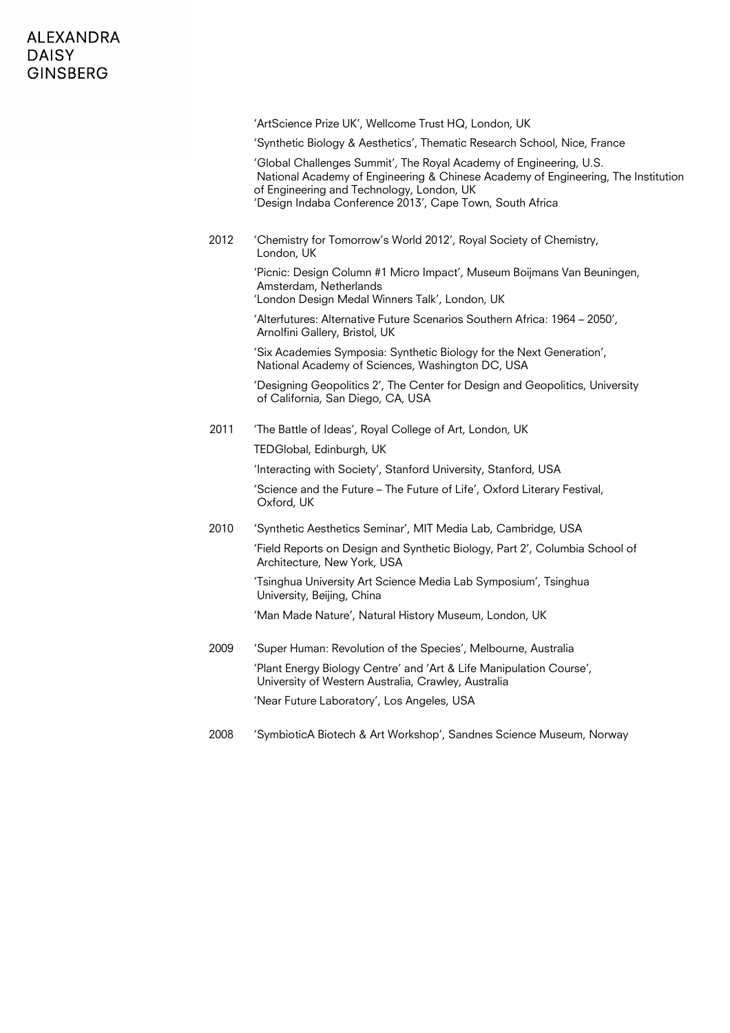|      | 'ArtScience Prize UK', Wellcome Trust HQ, London, UK                                                                                                                                                                                                             |
|------|------------------------------------------------------------------------------------------------------------------------------------------------------------------------------------------------------------------------------------------------------------------|
|      | 'Synthetic Biology & Aesthetics', Thematic Research School, Nice, France                                                                                                                                                                                         |
|      | 'Global Challenges Summit', The Royal Academy of Engineering, U.S.<br>National Academy of Engineering & Chinese Academy of Engineering, The Institution<br>of Engineering and Technology, London, UK<br>'Design Indaba Conference 2013', Cape Town, South Africa |
| 2012 | 'Chemistry for Tomorrow's World 2012', Royal Society of Chemistry,<br>London, UK                                                                                                                                                                                 |
|      | 'Picnic: Design Column #1 Micro Impact', Museum Boijmans Van Beuningen,<br>Amsterdam, Netherlands<br>'London Design Medal Winners Talk', London, UK                                                                                                              |
|      | 'Alterfutures: Alternative Future Scenarios Southern Africa: 1964 - 2050',<br>Arnolfini Gallery, Bristol, UK                                                                                                                                                     |
|      | 'Six Academies Symposia: Synthetic Biology for the Next Generation',<br>National Academy of Sciences, Washington DC, USA                                                                                                                                         |
|      | 'Designing Geopolitics 2', The Center for Design and Geopolitics, University<br>of California, San Diego, CA, USA                                                                                                                                                |
| 2011 | 'The Battle of Ideas', Royal College of Art, London, UK                                                                                                                                                                                                          |
|      | TEDGlobal, Edinburgh, UK                                                                                                                                                                                                                                         |
|      | 'Interacting with Society', Stanford University, Stanford, USA                                                                                                                                                                                                   |
|      | 'Science and the Future - The Future of Life', Oxford Literary Festival,<br>Oxford, UK                                                                                                                                                                           |
| 2010 | 'Synthetic Aesthetics Seminar', MIT Media Lab, Cambridge, USA                                                                                                                                                                                                    |
|      | 'Field Reports on Design and Synthetic Biology, Part 2', Columbia School of<br>Architecture, New York, USA                                                                                                                                                       |
|      | 'Tsinghua University Art Science Media Lab Symposium', Tsinghua<br>University, Beijing, China                                                                                                                                                                    |
|      | 'Man Made Nature', Natural History Museum, London, UK                                                                                                                                                                                                            |
| 2009 | 'Super Human: Revolution of the Species', Melbourne, Australia                                                                                                                                                                                                   |
|      | 'Plant Energy Biology Centre' and 'Art & Life Manipulation Course',<br>University of Western Australia, Crawley, Australia                                                                                                                                       |
|      | 'Near Future Laboratory', Los Angeles, USA                                                                                                                                                                                                                       |
| 2008 | 'SymbioticA Biotech & Art Workshop', Sandnes Science Museum, Norway                                                                                                                                                                                              |